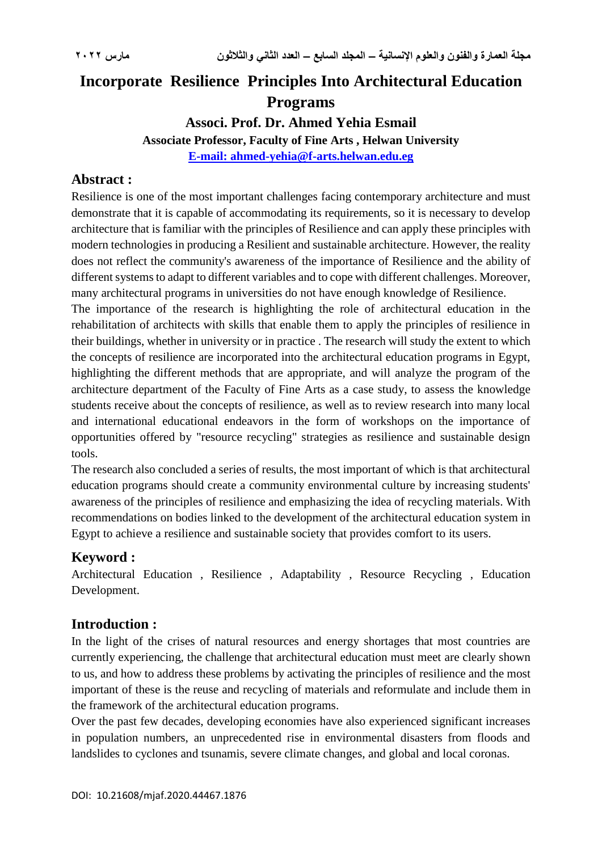# **Incorporate Resilience [Principles](https://context.reverso.net/translation/english-arabic/principles) Into Architectural Education Programs**

# **[Associ. Prof.](https://context.reverso.net/translation/english-arabic/Associate+Professor) Dr. Ahmed Yehia Esmail**

**[Associate Professor,](https://context.reverso.net/translation/english-arabic/Associate+Professor) Faculty of Fine Arts , Helwan University [E-mail:](mailto:E-mail) ahmed-yehia@f-arts.helwan.edu.eg**

## **Abstract :**

Resilience is one of the most important challenges facing contemporary architecture and must demonstrate that it is capable of accommodating its requirements, so it is necessary to develop architecture that is familiar with the principles of Resilience and can apply these principles with modern technologies in producing a Resilient and sustainable architecture. However, the reality does not reflect the community's awareness of the importance of Resilience and the ability of different systems to adapt to different variables and to cope with different challenges. Moreover, many architectural programs in universities do not have enough knowledge of Resilience.

The importance of the research is highlighting the role of architectural education in the rehabilitation of architects with skills that enable them to apply the principles of resilience in their buildings, whether in university or in practice . The research will study the extent to which the concepts of resilience are incorporated into the architectural education programs in Egypt, highlighting the different methods that are appropriate, and will analyze the program of the architecture department of the Faculty of Fine Arts as a case study, to assess the knowledge students receive about the concepts of resilience, as well as to review research into many local and international educational endeavors in the form of workshops on the importance of opportunities offered by "resource recycling" strategies as resilience and sustainable design tools.

The research also concluded a series of results, the most important of which is that architectural education programs should create a community environmental culture by increasing students' awareness of the principles of resilience and emphasizing the idea of recycling materials. With recommendations on bodies linked to the development of the architectural education system in Egypt to achieve a resilience and sustainable society that provides comfort to its users.

# **[Keyword](https://context.reverso.net/translation/english-arabic/keyword) :**

Architectural Education , Resilience , Adaptability , Resource Recycling , [Education](https://context.reverso.net/translation/english-arabic/Education+Development)  [Development.](https://context.reverso.net/translation/english-arabic/Education+Development)

# **Introduction :**

In the light of the crises of natural resources and energy shortages that most countries are currently experiencing, the challenge that architectural education must meet are clearly shown to us, and how to address these problems by activating the principles of resilience and the most important of these is the reuse and recycling of materials and reformulate and include them in the framework of the architectural education programs.

Over the past few decades, developing economies have also experienced significant increases in population numbers, an unprecedented rise in environmental disasters from floods and landslides to cyclones and tsunamis, severe climate changes, and global and local coronas.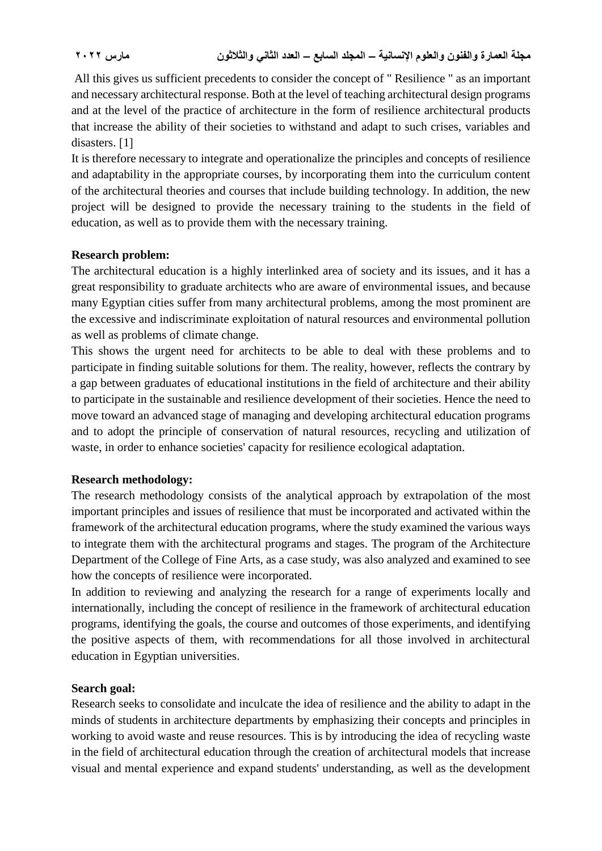All this gives us sufficient precedents to consider the concept of " Resilience " as an important and necessary architectural response. Both at the level of teaching architectural design programs and at the level of the practice of architecture in the form of resilience architectural products that increase the ability of their societies to withstand and adapt to such crises, variables and disasters.  $[1]$ 

It is therefore necessary to integrate and operationalize the principles and concepts of resilience and adaptability in the appropriate courses, by incorporating them into the curriculum content of the architectural theories and courses that include building technology. In addition, the new project will be designed to provide the necessary training to the students in the field of education, as well as to provide them with the necessary training.

### **Research problem:**

The architectural education is a highly interlinked area of society and its issues, and it has a great responsibility to graduate architects who are aware of environmental issues, and because many Egyptian cities suffer from many architectural problems, among the most prominent are the excessive and indiscriminate exploitation of natural resources and environmental pollution as well as problems of climate change.

This shows the urgent need for architects to be able to deal with these problems and to participate in finding suitable solutions for them. The reality, however, reflects the contrary by a gap between graduates of educational institutions in the field of architecture and their ability to participate in the sustainable and resilience development of their societies. Hence the need to move toward an advanced stage of managing and developing architectural education programs and to adopt the principle of conservation of natural resources, recycling and utilization of waste, in order to enhance societies' capacity for resilience ecological adaptation.

#### **Research methodology:**

The research methodology consists of the analytical approach by extrapolation of the most important principles and issues of resilience that must be incorporated and activated within the framework of the architectural education programs, where the study examined the various ways to integrate them with the architectural programs and stages. The program of the Architecture Department of the College of Fine Arts, as a case study, was also analyzed and examined to see how the concepts of resilience were incorporated.

In addition to reviewing and analyzing the research for a range of experiments locally and internationally, including the concept of resilience in the framework of architectural education programs, identifying the goals, the course and outcomes of those experiments, and identifying the positive aspects of them, with recommendations for all those involved in architectural education in Egyptian universities.

#### **Search goal:**

Research seeks to consolidate and inculcate the idea of resilience and the ability to adapt in the minds of students in architecture departments by emphasizing their concepts and principles in working to avoid waste and reuse resources. This is by introducing the idea of recycling waste in the field of architectural education through the creation of architectural models that increase visual and mental experience and expand students' understanding, as well as the development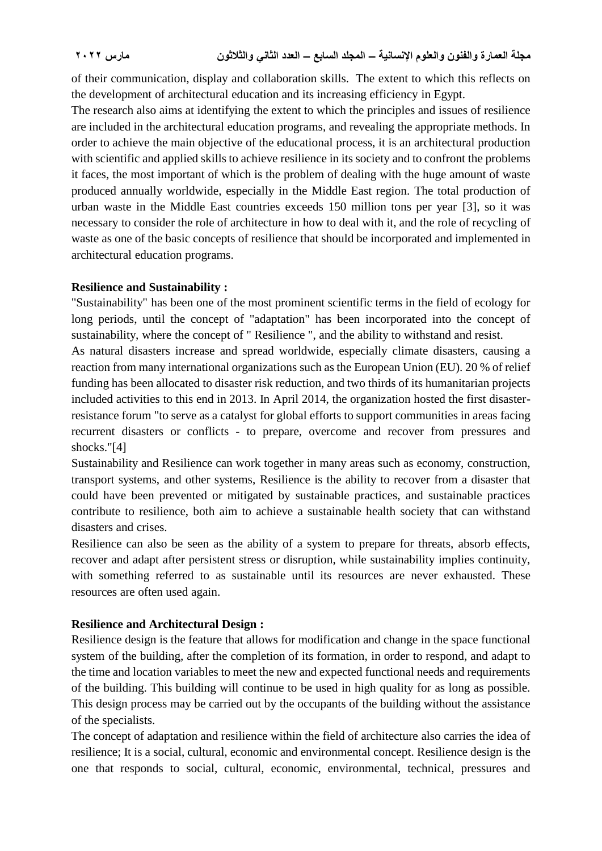of their communication, display and collaboration skills. The extent to which this reflects on the development of architectural education and its increasing efficiency in Egypt.

The research also aims at identifying the extent to which the principles and issues of resilience are included in the architectural education programs, and revealing the appropriate methods. In order to achieve the main objective of the educational process, it is an architectural production with scientific and applied skills to achieve resilience in its society and to confront the problems it faces, the most important of which is the problem of dealing with the huge amount of waste produced annually worldwide, especially in the Middle East region. The total production of urban waste in the Middle East countries exceeds 150 million tons per year [3], so it was necessary to consider the role of architecture in how to deal with it, and the role of recycling of waste as one of the basic concepts of resilience that should be incorporated and implemented in architectural education programs.

#### **Resilience and Sustainability :**

"Sustainability" has been one of the most prominent scientific terms in the field of ecology for long periods, until the concept of "adaptation" has been incorporated into the concept of sustainability, where the concept of " Resilience ", and the ability to withstand and resist.

As natural disasters increase and spread worldwide, especially climate disasters, causing a reaction from many international organizations such as the European Union (EU). 20 % of relief funding has been allocated to disaster risk reduction, and two thirds of its humanitarian projects included activities to this end in 2013. In April 2014, the organization hosted the first disasterresistance forum "to serve as a catalyst for global efforts to support communities in areas facing recurrent disasters or conflicts - to prepare, overcome and recover from pressures and shocks."[4]

Sustainability and Resilience can work together in many areas such as economy, construction, transport systems, and other systems, Resilience is the ability to recover from a disaster that could have been prevented or mitigated by sustainable practices, and sustainable practices contribute to resilience, both aim to achieve a sustainable health society that can withstand disasters and crises.

Resilience can also be seen as the ability of a system to prepare for threats, absorb effects, recover and adapt after persistent stress or disruption, while sustainability implies continuity, with something referred to as sustainable until its resources are never exhausted. These resources are often used again.

#### **Resilience and Architectural Design :**

Resilience design is the feature that allows for modification and change in the space functional system of the building, after the completion of its formation, in order to respond, and adapt to the time and location variables to meet the new and expected functional needs and requirements of the building. This building will continue to be used in high quality for as long as possible. This design process may be carried out by the occupants of the building without the assistance of the specialists.

The concept of adaptation and resilience within the field of architecture also carries the idea of resilience; It is a social, cultural, economic and environmental concept. Resilience design is the one that responds to social, cultural, economic, environmental, technical, pressures and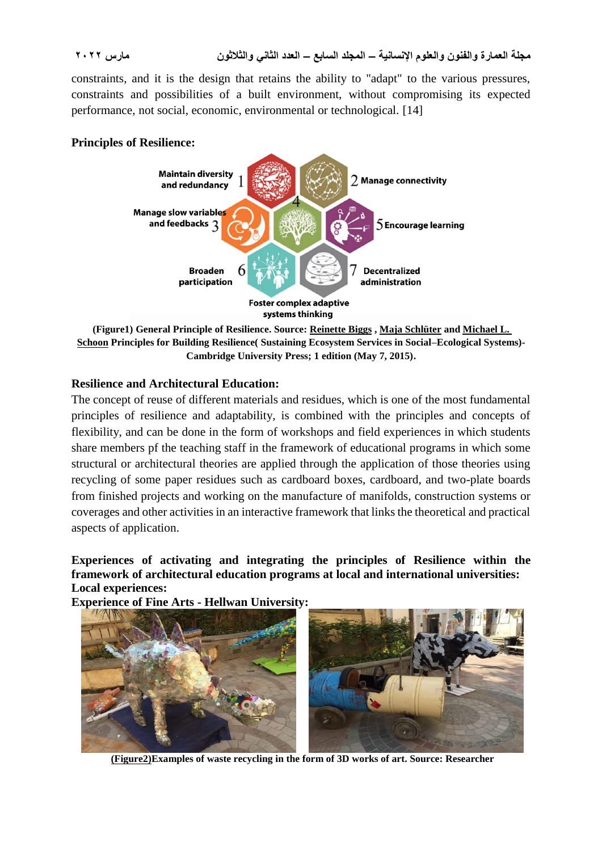constraints, and it is the design that retains the ability to "adapt" to the various pressures, constraints and possibilities of a built environment, without compromising its expected performance, not social, economic, environmental or technological. [14]

#### **Principles of Resilience:**



**[\(Figure1\) General Principle](https://www.amazon.com/s/ref=dp_byline_sr_book_3?ie=UTF8&field-author=Michael+L.+Schoon&text=Michael+L.+Schoon&sort=relevancerank&search-alias=books) of Resilience. Source: [Reinette Biggs](https://www.amazon.com/s/ref=dp_byline_sr_book_1?ie=UTF8&field-author=Reinette+Biggs&text=Reinette+Biggs&sort=relevancerank&search-alias=books) , [Maja Schlüter](https://www.amazon.com/s/ref=dp_byline_sr_book_2?ie=UTF8&field-author=Maja+Schl%26%23252%3Bter&text=Maja+Schl%26%23252%3Bter&sort=relevancerank&search-alias=books) and Michael L. [Schoon](https://www.amazon.com/s/ref=dp_byline_sr_book_3?ie=UTF8&field-author=Michael+L.+Schoon&text=Michael+L.+Schoon&sort=relevancerank&search-alias=books) Principles for Building Resilience( Sustaining Ecosystem Services in Social–Ecological Systems)- Cambridge University Press; 1 edition (May 7, 2015).**

### **Resilience and Architectural Education:**

The concept of reuse of different materials and residues, which is one of the most fundamental principles of resilience and adaptability, is combined with the principles and concepts of flexibility, and can be done in the form of workshops and field experiences in which students share members pf the teaching staff in the framework of educational programs in which some structural or architectural theories are applied through the application of those theories using recycling of some paper residues such as cardboard boxes, cardboard, and two-plate boards from finished projects and working on the manufacture of manifolds, construction systems or coverages and other activities in an interactive framework that links the theoretical and practical aspects of application.

#### **Experiences of activating and integrating the principles of Resilience within the framework of architectural education programs at local and international universities: Local experiences:**

**Experience of Fine Arts - Hellwan University:**



**(Figure2)Examples of waste recycling in the form of 3D works of art. Source: Researcher**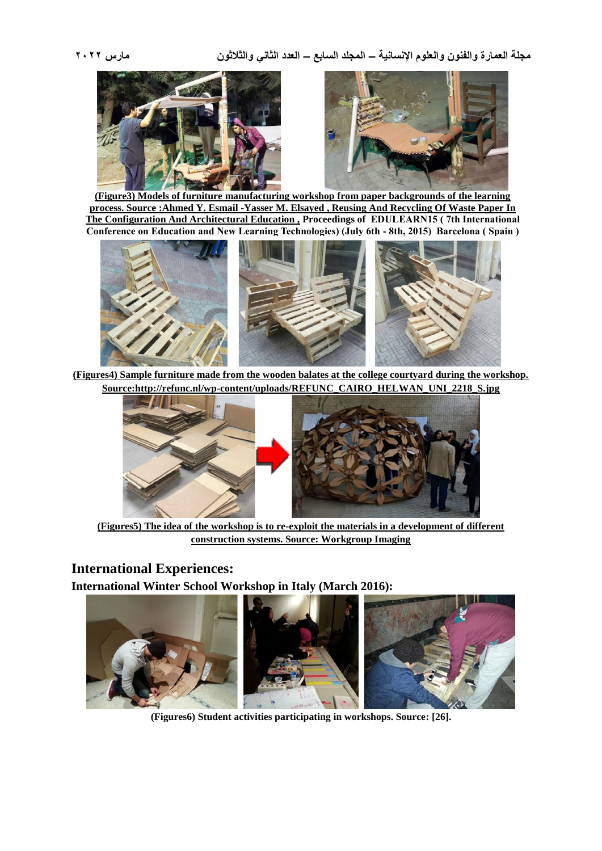



**(Figure3) Models of furniture manufacturing workshop from paper backgrounds of the learning process. Source [:Ahmed Y. E](https://papers.ssrn.com/sol3/cf_dev/AbsByAuth.cfm?per_id=2979047)smail [-Yasser M. E](https://papers.ssrn.com/sol3/cf_dev/AbsByAuth.cfm?per_id=3214768)lsayed , Reusing And Recycling Of Waste Paper In The Configuration And Architectural Education , Proceedings of EDULEARN15 ( 7th International Conference on Education and New Learning Technologies) (July 6th - 8th, 2015) Barcelona ( Spain )**



**(Figures4) Sample furniture made from the wooden balates at the college courtyard during the workshop. Source[:http://refunc.nl/wp-content/uploads/REFUNC\\_CAIRO\\_HELWAN\\_UNI\\_2218\\_S.jpg](http://refunc.nl/wp-content/uploads/REFUNC_CAIRO_HELWAN_UNI_2218_S.jpg)**



**(Figures5) The idea of the workshop is to re-exploit the materials in a development of different construction systems. Source: Workgroup Imaging**

### **International Experiences:**

**International Winter School Workshop in Italy (March 2016):**



**(Figures6) Student activities participating in workshops. Source: [26].**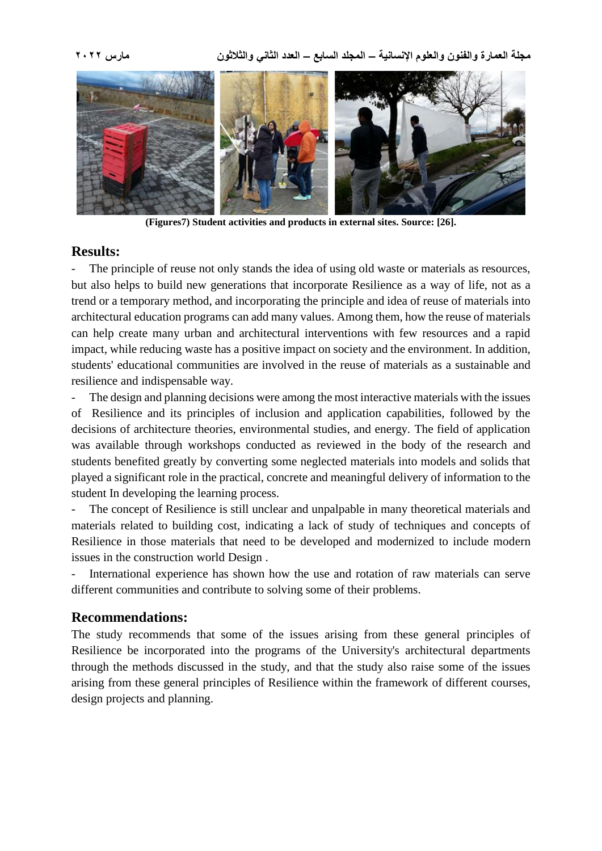

**(Figures7) Student activities and products in external sites. Source: [26].**

#### **Results:**

- The principle of [reuse](https://context.reverso.net/translation/english-arabic/re-use) not only stands the idea of using old waste or materials as resources, but also helps to build new generations that incorporate Resilience as a way of life, not as a trend or a temporary method, and incorporating the principle and idea of reuse of materials into architectural education programs can add many values. Among them, how the reuse of materials can help create many urban and architectural interventions with few resources and a rapid impact, while reducing waste has a positive impact on society and the environment. In addition, students' educational communities are involved in the reuse of materials as a sustainable and resilience and indispensable way.

The design and planning decisions were among the most interactive materials with the issues of Resilience and its principles of inclusion and application capabilities, followed by the decisions of architecture theories, environmental studies, and energy. The field of application was available through workshops conducted as reviewed in the body of the research and students benefited greatly by converting some neglected materials into models and solids that played a significant role in the practical, concrete and meaningful delivery of information to the student In developing the learning process.

The concept of Resilience is still unclear and unpalpable in many theoretical materials and materials related to building cost, indicating a lack of study of techniques and concepts of Resilience in those materials that need to be developed and modernized to include modern issues in the construction world Design .

International experience has shown how the use and rotation of raw materials can serve different communities and contribute to solving some of their problems.

#### **[Recommendations:](https://context.reverso.net/translation/english-arabic/recommendations%2C)**

The study recommends that some of the issues arising from these general principles of Resilience be incorporated into the programs of the University's architectural departments through the methods discussed in the study, and that the study also raise some of the issues arising from these general principles of Resilience within the framework of different courses, design projects and planning.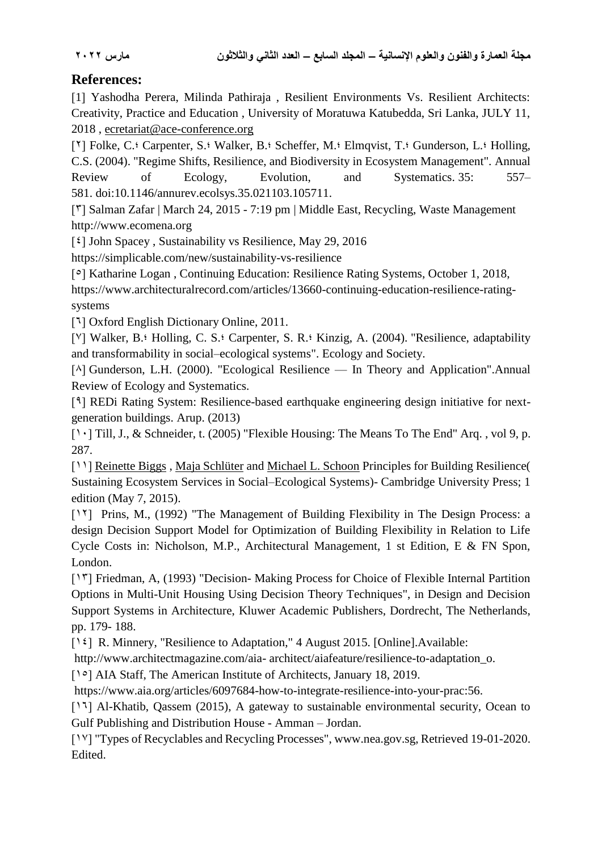# **References:**

[1] Yashodha Perera, Milinda Pathiraja, Resilient Environments Vs. Resilient Architects: Creativity, Practice and Education , University of Moratuwa Katubedda, Sri Lanka, JULY 11, 2018 , [ecretariat@ace-conference.org](mailto:secretariat@ace-conference.org)

[<sup> $7$ </sup>] Folke, C.<sup>§</sup> Carpenter, S.<sup>§</sup> Walker, B.§ Scheffer, M.§ Elmqvist, T.§ Gunderson, L.§ Holling, C.S. (2004). "Regime Shifts, Resilience, and Biodiversity in Ecosystem Management". Annual Review of Ecology, Evolution, and Systematics. 35: 557– 581. [doi](https://ar.wikipedia.org/wiki/%D9%85%D8%B9%D8%B1%D9%81_%D8%A7%D9%84%D8%BA%D8%B1%D8%B6_%D8%A7%D9%84%D8%B1%D9%82%D9%85%D9%8A)[:10.1146/annurev.ecolsys.35.021103.105711.](https://doi.org/10.1146%2Fannurev.ecolsys.35.021103.105711)

[\]] [Salman Zafar](http://www.ecomena.org/author/salman/) | [March 24, 2015](http://www.ecomena.org/plastics-recycling-ar/) - 7:19 pm | [Middle East,](http://www.ecomena.org/category/middle-east/) [Recycling,](http://www.ecomena.org/category/recycling/) [Waste Management](http://www.ecomena.org/category/waste-management/) http://www.ecomena.org

 $[4]$  [John Spacey](https://simplicable.com/new/johnSpacey), Sustainability vs Resilience, May 29, 2016

<https://simplicable.com/new/sustainability-vs-resilience>

[ $\circ$ ] [Katharine Logan](https://www.architecturalrecord.com/authors/370-katharine-logan), Continuing Education: Resilience Rating Systems, October 1, 2018,

[https://www.architecturalrecord.com/articles/13660-continuing-education-resilience-rating](https://www.architecturalrecord.com/articles/13660-continuing-education-resilience-rating-systems)[systems](https://www.architecturalrecord.com/articles/13660-continuing-education-resilience-rating-systems)

[<sup>1</sup>] Oxford English Dictionary Online, 2011.

[ $V$ ] Walker, B. • Holling, C. S. • Carpenter, S. R. • Kinzig, A. (2004). "Resilience, adaptability [and transformability in social–ecological systems".](https://web.archive.org/web/20190517073955/https:/www.ecologyandsociety.org/vol9/iss2/art5/) Ecology and Society.

 $[\text{A}]$  Gunderson, L.H. (2000). "Ecological Resilience — In Theory and Application".Annual Review of Ecology and Systematics.

[9] REDi Rating System: Resilience-based earthquake engineering design initiative for nextgeneration buildings. Arup. (2013)

[10] Till, J., & Schneider, t. (2005) "Flexible Housing: The Means To The End" Arq., vol 9, p. 287.

[11] [Reinette Biggs](https://www.amazon.com/s/ref=dp_byline_sr_book_1?ie=UTF8&field-author=Reinette+Biggs&text=Reinette+Biggs&sort=relevancerank&search-alias=books), [Maja Schlüter](https://www.amazon.com/s/ref=dp_byline_sr_book_2?ie=UTF8&field-author=Maja+Schl%26%23252%3Bter&text=Maja+Schl%26%23252%3Bter&sort=relevancerank&search-alias=books) and [Michael L. Schoon](https://www.amazon.com/s/ref=dp_byline_sr_book_3?ie=UTF8&field-author=Michael+L.+Schoon&text=Michael+L.+Schoon&sort=relevancerank&search-alias=books) Principles for Building Resilience( Sustaining Ecosystem Services in Social–Ecological Systems)- Cambridge University Press; 1 edition (May 7, 2015).

[17] Prins, M., (1992) "The Management of Building Flexibility in The Design Process: a design Decision Support Model for Optimization of Building Flexibility in Relation to Life Cycle Costs in: Nicholson, M.P., Architectural Management, 1 st Edition, E & FN Spon, London.

[ $17$ ] Friedman, A, (1993) "Decision- Making Process for Choice of Flexible Internal Partition Options in Multi-Unit Housing Using Decision Theory Techniques", in Design and Decision Support Systems in Architecture, Kluwer Academic Publishers, Dordrecht, The Netherlands, pp. 179- 188.

[14] R. Minnery, "Resilience to Adaptation," 4 August 2015. [Online].Available:

<http://www.architectmagazine.com/aia-> architect/aiafeature/resilience-to-adaptation\_o.

[1<sup>o</sup>] AIA Staff, The American Institute of Architects, January 18, 2019.

[https://www.aia.org/articles/6097684-how-to-integrate-resilience-into-your-prac:56.](https://www.aia.org/articles/6097684-how-to-integrate-resilience-into-your-prac:56)

[17] Al-Khatib, Qassem (2015), A gateway to sustainable environmental security, Ocean to Gulf Publishing and Distribution House - Amman – Jordan.

[17] "Types of Recyclables and Recycling Processes", www.nea.gov.sg, Retrieved 19-01-2020. Edited.